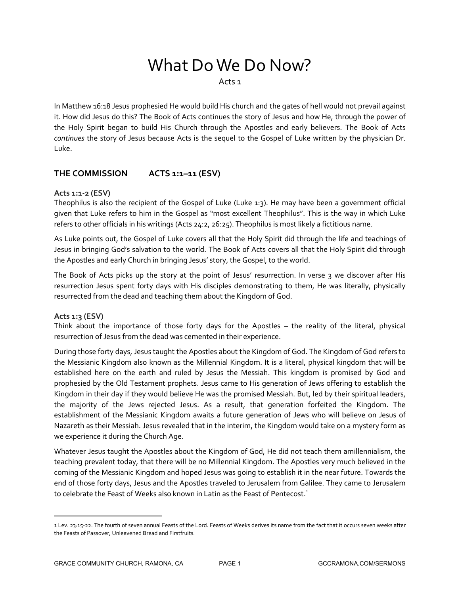# What Do We Do Now?

Acts 1

In Matthew 16:18 Jesus prophesied He would build His church and the gates of hell would not prevail against it. How did Jesus do this? The Book of Acts continues the story of Jesus and how He, through the power of the Holy Spirit began to build His Church through the Apostles and early believers. The Book of Acts *continues* the story of Jesus because Acts is the sequel to the Gospel of Luke written by the physician Dr. Luke.

# **THE COMMISSION ACTS 1:1–11 (ESV)**

# **Acts 1:1-2 (ESV)**

Theophilus is also the recipient of the Gospel of Luke (Luke 1:3). He may have been a government official given that Luke refers to him in the Gospel as "most excellent Theophilus". This is the way in which Luke refers to other officials in his writings (Acts 24:2, 26:25). Theophilus is most likely a fictitious name.

As Luke points out, the Gospel of Luke covers all that the Holy Spirit did through the life and teachings of Jesus in bringing God's salvation to the world. The Book of Acts covers all that the Holy Spirit did through the Apostles and early Church in bringing Jesus' story, the Gospel, to the world.

The Book of Acts picks up the story at the point of Jesus' resurrection. In verse 3 we discover after His resurrection Jesus spent forty days with His disciples demonstrating to them, He was literally, physically resurrected from the dead and teaching them about the Kingdom of God.

# **Acts 1:3 (ESV)**

 $\overline{a}$ 

Think about the importance of those forty days for the Apostles – the reality of the literal, physical resurrection of Jesus from the dead was cemented in their experience.

During those forty days, Jesus taught the Apostles about the Kingdom of God. The Kingdom of God refers to the Messianic Kingdom also known as the Millennial Kingdom. It is a literal, physical kingdom that will be established here on the earth and ruled by Jesus the Messiah. This kingdom is promised by God and prophesied by the Old Testament prophets. Jesus came to His generation of Jews offering to establish the Kingdom in their day if they would believe He was the promised Messiah. But, led by their spiritual leaders, the majority of the Jews rejected Jesus. As a result, that generation forfeited the Kingdom. The establishment of the Messianic Kingdom awaits a future generation of Jews who will believe on Jesus of Nazareth as their Messiah. Jesus revealed that in the interim, the Kingdom would take on a mystery form as we experience it during the Church Age.

Whatever Jesus taught the Apostles about the Kingdom of God, He did not teach them amillennialism, the teaching prevalent today, that there will be no Millennial Kingdom. The Apostles very much believed in the coming of the Messianic Kingdom and hoped Jesus was going to establish it in the near future. Towards the end of those forty days, Jesus and the Apostles traveled to Jerusalem from Galilee. They came to Jerusalem to celebrate the Feast of Weeks also known in Latin as the Feast of Pentecost.<sup>1</sup>

<sup>1</sup> Lev. 23:15-22. The fourth of seven annual Feasts of the Lord. Feasts of Weeks derives its name from the fact that it occurs seven weeks after the Feasts of Passover, Unleavened Bread and Firstfruits.